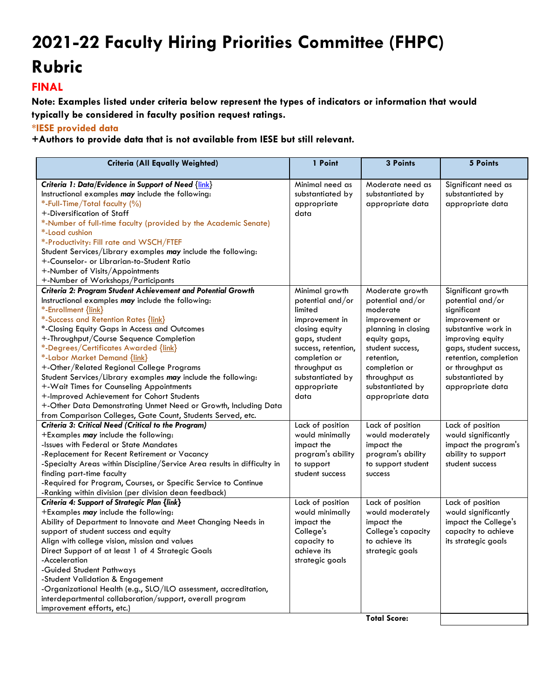## **2021-22 Faculty Hiring Priorities Committee (FHPC) Rubric**

## **FINAL**

**Note: Examples listed under criteria below represent the types of indicators or information that would typically be considered in faculty position request ratings.** 

**\*IESE provided data**

**+Authors to provide data that is not available from IESE but still relevant.**

| <b>Criteria (All Equally Weighted)</b>                                                                                                                                                                                                                                                                                                                                                                                                                                                                                                                                                                                                                                                        | 1 Point                                                                                                                                                                                                | 3 Points                                                                                                                                                                                                             | 5 Points                                                                                                                                                                                                                          |
|-----------------------------------------------------------------------------------------------------------------------------------------------------------------------------------------------------------------------------------------------------------------------------------------------------------------------------------------------------------------------------------------------------------------------------------------------------------------------------------------------------------------------------------------------------------------------------------------------------------------------------------------------------------------------------------------------|--------------------------------------------------------------------------------------------------------------------------------------------------------------------------------------------------------|----------------------------------------------------------------------------------------------------------------------------------------------------------------------------------------------------------------------|-----------------------------------------------------------------------------------------------------------------------------------------------------------------------------------------------------------------------------------|
| Criteria 1: Data/Evidence in Support of Need {link}<br>Instructional examples may include the following:<br>*-Full-Time/Total faculty (%)<br>+-Diversification of Staff<br>*-Number of full-time faculty (provided by the Academic Senate)<br>*-Load cushion<br>*-Productivity: Fill rate and WSCH/FTEF<br>Student Services/Library examples may include the following:<br>+-Counselor- or Librarian-to-Student Ratio<br>+-Number of Visits/Appointments<br>+-Number of Workshops/Participants                                                                                                                                                                                                | Minimal need as<br>substantiated by<br>appropriate<br>data                                                                                                                                             | Moderate need as<br>substantiated by<br>appropriate data                                                                                                                                                             | Significant need as<br>substantiated by<br>appropriate data                                                                                                                                                                       |
| Criteria 2: Program Student Achievement and Potential Growth<br>Instructional examples may include the following:<br>*-Enrollment {link}<br>*-Success and Retention Rates {link}<br>*-Closing Equity Gaps in Access and Outcomes<br>+-Throughput/Course Sequence Completion<br>*-Degrees/Certificates Awarded {link}<br>*-Labor Market Demand {link}<br>+-Other/Related Regional College Programs<br>Student Services/Library examples may include the following:<br>+-Wait Times for Counseling Appointments<br>+-Improved Achievement for Cohort Students<br>+-Other Data Demonstrating Unmet Need or Growth, Including Data<br>from Comparison Colleges, Gate Count, Students Served, etc. | Minimal growth<br>potential and/or<br>limited<br>improvement in<br>closing equity<br>gaps, student<br>success, retention,<br>completion or<br>throughput as<br>substantiated by<br>appropriate<br>data | Moderate growth<br>potential and/or<br>moderate<br>improvement or<br>planning in closing<br>equity gaps,<br>student success,<br>retention,<br>completion or<br>throughput as<br>substantiated by<br>appropriate data | Significant growth<br>potential and/or<br>significant<br>improvement or<br>substantive work in<br>improving equity<br>gaps, student success,<br>retention, completion<br>or throughput as<br>substantiated by<br>appropriate data |
| Criteria 3: Critical Need (Critical to the Program)<br>+Examples may include the following:<br>-Issues with Federal or State Mandates<br>-Replacement for Recent Retirement or Vacancy<br>-Specialty Areas within Discipline/Service Area results in difficulty in<br>finding part-time faculty<br>-Required for Program, Courses, or Specific Service to Continue<br>-Ranking within division (per division dean feedback)                                                                                                                                                                                                                                                                   | Lack of position<br>would minimally<br>impact the<br>program's ability<br>to support<br>student success                                                                                                | Lack of position<br>would moderately<br>impact the<br>program's ability<br>to support student<br>success                                                                                                             | Lack of position<br>would significantly<br>impact the program's<br>ability to support<br>student success                                                                                                                          |
| Criteria 4: Support of Strategic Plan {link}<br>+Examples may include the following:<br>Ability of Department to Innovate and Meet Changing Needs in<br>support of student success and equity<br>Align with college vision, mission and values<br>Direct Support of at least 1 of 4 Strategic Goals<br>-Acceleration<br>-Guided Student Pathways<br>-Student Validation & Engagement<br>-Organizational Health (e.g., SLO/ILO assessment, accreditation,<br>interdepartmental collaboration/support, overall program<br>improvement efforts, etc.)                                                                                                                                            | Lack of position<br>would minimally<br>impact the<br>College's<br>capacity to<br>achieve its<br>strategic goals                                                                                        | Lack of position<br>would moderately<br>impact the<br>College's capacity<br>to achieve its<br>strategic goals<br><b>Total Score:</b>                                                                                 | Lack of position<br>would significantly<br>impact the College's<br>capacity to achieve<br>its strategic goals                                                                                                                     |